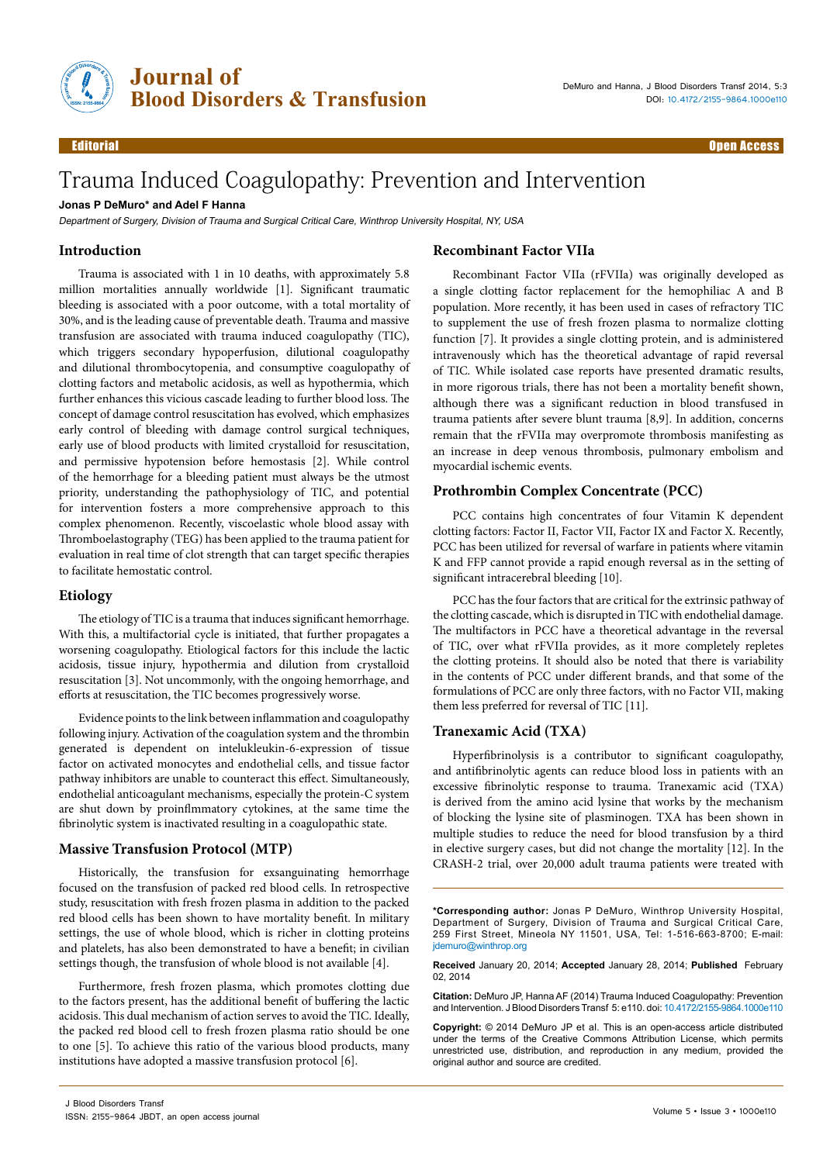

# Trauma Induced Coagulopathy: Prevention and Intervention

## **Jonas P DeMuro\* and Adel F Hanna**

Department of Surgery, Division of Trauma and Surgical Critical Care, Winthrop University Hospital, NY, USA

## **Introduction**

Trauma is associated with 1 in 10 deaths, with approximately 5.8 million mortalities annually worldwide [1]. Significant traumatic bleeding is associated with a poor outcome, with a total mortality of 30%, and is the leading cause of preventable death. Trauma and massive transfusion are associated with trauma induced coagulopathy (TIC), which triggers secondary hypoperfusion, dilutional coagulopathy and dilutional thrombocytopenia, and consumptive coagulopathy of clotting factors and metabolic acidosis, as well as hypothermia, which further enhances this vicious cascade leading to further blood loss. The concept of damage control resuscitation has evolved, which emphasizes early control of bleeding with damage control surgical techniques, early use of blood products with limited crystalloid for resuscitation, and permissive hypotension before hemostasis [2]. While control of the hemorrhage for a bleeding patient must always be the utmost priority, understanding the pathophysiology of TIC, and potential for intervention fosters a more comprehensive approach to this complex phenomenon. Recently, viscoelastic whole blood assay with Thromboelastography (TEG) has been applied to the trauma patient for evaluation in real time of clot strength that can target specific therapies to facilitate hemostatic control.

## **Etiology**

The etiology of TIC is a trauma that induces significant hemorrhage. With this, a multifactorial cycle is initiated, that further propagates a worsening coagulopathy. Etiological factors for this include the lactic acidosis, tissue injury, hypothermia and dilution from crystalloid resuscitation [3]. Not uncommonly, with the ongoing hemorrhage, and efforts at resuscitation, the TIC becomes progressively worse.

Evidence points to the link between inflammation and coagulopathy following injury. Activation of the coagulation system and the thrombin generated is dependent on intelukleukin-6-expression of tissue factor on activated monocytes and endothelial cells, and tissue factor pathway inhibitors are unable to counteract this effect. Simultaneously, endothelial anticoagulant mechanisms, especially the protein-C system are shut down by proinflmmatory cytokines, at the same time the fibrinolytic system is inactivated resulting in a coagulopathic state.

## **Massive Transfusion Protocol (MTP)**

Historically, the transfusion for exsanguinating hemorrhage focused on the transfusion of packed red blood cells. In retrospective study, resuscitation with fresh frozen plasma in addition to the packed red blood cells has been shown to have mortality benefit. In military settings, the use of whole blood, which is richer in clotting proteins and platelets, has also been demonstrated to have a benefit; in civilian settings though, the transfusion of whole blood is not available [4].

Furthermore, fresh frozen plasma, which promotes clotting due to the factors present, has the additional benefit of buffering the lactic acidosis. This dual mechanism of action serves to avoid the TIC. Ideally, the packed red blood cell to fresh frozen plasma ratio should be one to one [5]. To achieve this ratio of the various blood products, many institutions have adopted a massive transfusion protocol [6].

## **Recombinant Factor VIIa**

Recombinant Factor VIIa (rFVIIa) was originally developed as a single clotting factor replacement for the hemophiliac A and B population. More recently, it has been used in cases of refractory TIC to supplement the use of fresh frozen plasma to normalize clotting function [7]. It provides a single clotting protein, and is administered intravenously which has the theoretical advantage of rapid reversal of TIC. While isolated case reports have presented dramatic results, in more rigorous trials, there has not been a mortality benefit shown, although there was a significant reduction in blood transfused in trauma patients after severe blunt trauma [8,9]. In addition, concerns remain that the rFVIIa may overpromote thrombosis manifesting as an increase in deep venous thrombosis, pulmonary embolism and myocardial ischemic events.

## **Prothrombin Complex Concentrate (PCC)**

PCC contains high concentrates of four Vitamin K dependent clotting factors: Factor II, Factor VII, Factor IX and Factor X. Recently, PCC has been utilized for reversal of warfare in patients where vitamin K and FFP cannot provide a rapid enough reversal as in the setting of significant intracerebral bleeding [10].

PCC has the four factors that are critical for the extrinsic pathway of the clotting cascade, which is disrupted in TIC with endothelial damage. The multifactors in PCC have a theoretical advantage in the reversal of TIC, over what rFVIIa provides, as it more completely repletes the clotting proteins. It should also be noted that there is variability in the contents of PCC under different brands, and that some of the formulations of PCC are only three factors, with no Factor VII, making them less preferred for reversal of TIC [11].

#### **Tranexamic Acid (TXA)**

Hyperfibrinolysis is a contributor to significant coagulopathy, and antifibrinolytic agents can reduce blood loss in patients with an excessive fibrinolytic response to trauma. Tranexamic acid (TXA) is derived from the amino acid lysine that works by the mechanism of blocking the lysine site of plasminogen. TXA has been shown in multiple studies to reduce the need for blood transfusion by a third in elective surgery cases, but did not change the mortality [12]. In the CRASH-2 trial, over 20,000 adult trauma patients were treated with

**Received** January 20, 2014; **Accepted** January 28, 2014; **Published** February 02, 2014

**Citation:** DeMuro JP, Hanna AF (2014) Trauma Induced Coagulopathy: Prevention and Intervention. J Blood Disorders Transf 5: e110. doi: 10.4172/2155-9864.1000e110

**Copyright:** © 2014 DeMuro JP et al. This is an open-access article distributed under the terms of the Creative Commons Attribution License, which permits unrestricted use, distribution, and reproduction in any medium, provided the original author and source are credited.

**<sup>\*</sup>Corresponding author:** Jonas P DeMuro, Winthrop University Hospital, Department of Surgery, Division of Trauma and Surgical Critical Care, 259 First Street, Mineola NY 11501, USA, Tel: 1-516-663-8700; E-mail: idemuro@winthrop.org